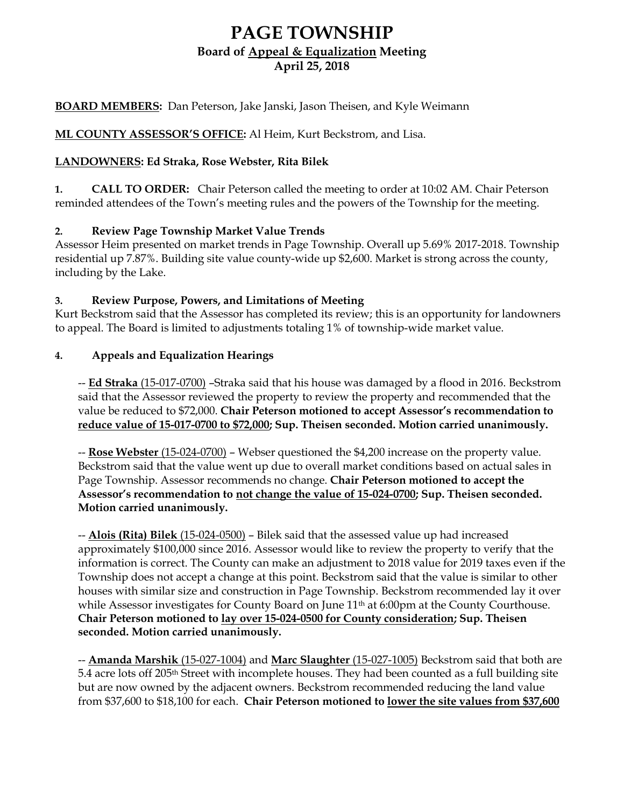# **PAGE TOWNSHIP Board of Appeal & Equalization Meeting April 25, 2018**

## **BOARD MEMBERS:** Dan Peterson, Jake Janski, Jason Theisen, and Kyle Weimann

# **ML COUNTY ASSESSOR'S OFFICE:** Al Heim, Kurt Beckstrom, and Lisa.

#### **LANDOWNERS: Ed Straka, Rose Webster, Rita Bilek**

**1. CALL TO ORDER:** Chair Peterson called the meeting to order at 10:02 AM. Chair Peterson reminded attendees of the Town's meeting rules and the powers of the Township for the meeting.

## **2. Review Page Township Market Value Trends**

Assessor Heim presented on market trends in Page Township. Overall up 5.69% 2017-2018. Township residential up 7.87%. Building site value county-wide up \$2,600. Market is strong across the county, including by the Lake.

## **3. Review Purpose, Powers, and Limitations of Meeting**

Kurt Beckstrom said that the Assessor has completed its review; this is an opportunity for landowners to appeal. The Board is limited to adjustments totaling 1% of township-wide market value.

## **4. Appeals and Equalization Hearings**

-- **Ed Straka** (15-017-0700) –Straka said that his house was damaged by a flood in 2016. Beckstrom said that the Assessor reviewed the property to review the property and recommended that the value be reduced to \$72,000. **Chair Peterson motioned to accept Assessor's recommendation to reduce value of 15-017-0700 to \$72,000; Sup. Theisen seconded. Motion carried unanimously.** 

-- **Rose Webster** (15-024-0700) – Webser questioned the \$4,200 increase on the property value. Beckstrom said that the value went up due to overall market conditions based on actual sales in Page Township. Assessor recommends no change. **Chair Peterson motioned to accept the Assessor's recommendation to not change the value of 15-024-0700; Sup. Theisen seconded. Motion carried unanimously.** 

-- **Alois (Rita) Bilek** (15-024-0500) – Bilek said that the assessed value up had increased approximately \$100,000 since 2016. Assessor would like to review the property to verify that the information is correct. The County can make an adjustment to 2018 value for 2019 taxes even if the Township does not accept a change at this point. Beckstrom said that the value is similar to other houses with similar size and construction in Page Township. Beckstrom recommended lay it over while Assessor investigates for County Board on June 11<sup>th</sup> at 6:00pm at the County Courthouse. **Chair Peterson motioned to lay over 15-024-0500 for County consideration; Sup. Theisen seconded. Motion carried unanimously.**

-- **Amanda Marshik** (15-027-1004) and **Marc Slaughter** (15-027-1005) Beckstrom said that both are 5.4 acre lots off 205th Street with incomplete houses. They had been counted as a full building site but are now owned by the adjacent owners. Beckstrom recommended reducing the land value from \$37,600 to \$18,100 for each. **Chair Peterson motioned to lower the site values from \$37,600**